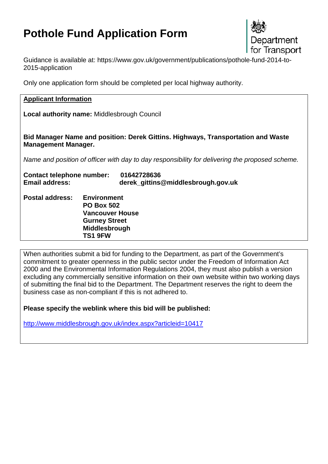# **Pothole Fund Application Form**



Guidance is available at: https://www.gov.uk/government/publications/pothole-fund-2014-to-2015-application

Only one application form should be completed per local highway authority.

#### **Applicant Information**

**Local authority name:** Middlesbrough Council

**Bid Manager Name and position: Derek Gittins. Highways, Transportation and Waste Management Manager.**

*Name and position of officer with day to day responsibility for delivering the proposed scheme.* 

| <b>Contact telephone number:</b> | 01642728636                                                                                                           |
|----------------------------------|-----------------------------------------------------------------------------------------------------------------------|
| <b>Email address:</b>            | derek_gittins@middlesbrough.gov.uk                                                                                    |
| <b>Postal address:</b>           | <b>Environment</b><br><b>PO Box 502</b><br><b>Vancouver House</b><br><b>Gurney Street</b><br>Middlesbrough<br>TS1 9FW |

When authorities submit a bid for funding to the Department, as part of the Government's commitment to greater openness in the public sector under the Freedom of Information Act 2000 and the Environmental Information Regulations 2004, they must also publish a version excluding any commercially sensitive information on their own website within two working days of submitting the final bid to the Department. The Department reserves the right to deem the business case as non-compliant if this is not adhered to.

**Please specify the weblink where this bid will be published:** 

<http://www.middlesbrough.gov.uk/index.aspx?articleid=10417>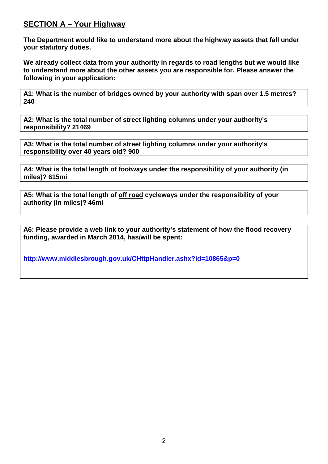### **SECTION A – Your Highway**

**The Department would like to understand more about the highway assets that fall under your statutory duties.**

**We already collect data from your authority in regards to road lengths but we would like to understand more about the other assets you are responsible for. Please answer the following in your application:**

**A1: What is the number of bridges owned by your authority with span over 1.5 metres? 240**

**A2: What is the total number of street lighting columns under your authority's responsibility? 21469**

**A3: What is the total number of street lighting columns under your authority's responsibility over 40 years old? 900**

**A4: What is the total length of footways under the responsibility of your authority (in miles)? 615mi**

**A5: What is the total length of off road cycleways under the responsibility of your authority (in miles)? 46mi**

**A6: Please provide a web link to your authority's statement of how the flood recovery funding, awarded in March 2014, has/will be spent:**

**<http://www.middlesbrough.gov.uk/CHttpHandler.ashx?id=10865&p=0>**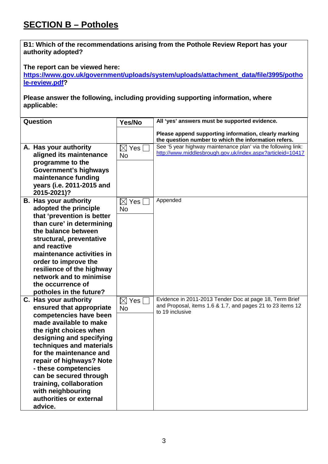# **SECTION B – Potholes**

**B1: Which of the recommendations arising from the Pothole Review Report has your authority adopted?**

**The report can be viewed here:** 

**[https://www.gov.uk/government/uploads/system/uploads/attachment\\_data/file/3995/potho](https://www.gov.uk/government/uploads/system/uploads/attachment_data/file/3995/pothole-review.pdf) [le-review.pdf?](https://www.gov.uk/government/uploads/system/uploads/attachment_data/file/3995/pothole-review.pdf)** 

**Please answer the following, including providing supporting information, where applicable:**

| Please append supporting information, clearly marking<br>the question number to which the information refers.<br>See '5 year highway maintenance plan' via the following link:<br>A. Has your authority<br>$\boxtimes$<br>Yes<br>http://www.middlesbrough.gov.uk/index.aspx?articleid=10417<br>aligned its maintenance<br><b>No</b><br>programme to the<br><b>Government's highways</b><br>maintenance funding<br>years (i.e. 2011-2015 and<br>2015-2021)?<br>Appended<br><b>B. Has your authority</b><br>$\boxtimes$<br><b>Yes</b><br>adopted the principle<br><b>No</b><br>that 'prevention is better<br>than cure' in determining |
|--------------------------------------------------------------------------------------------------------------------------------------------------------------------------------------------------------------------------------------------------------------------------------------------------------------------------------------------------------------------------------------------------------------------------------------------------------------------------------------------------------------------------------------------------------------------------------------------------------------------------------------|
|                                                                                                                                                                                                                                                                                                                                                                                                                                                                                                                                                                                                                                      |
|                                                                                                                                                                                                                                                                                                                                                                                                                                                                                                                                                                                                                                      |
|                                                                                                                                                                                                                                                                                                                                                                                                                                                                                                                                                                                                                                      |
|                                                                                                                                                                                                                                                                                                                                                                                                                                                                                                                                                                                                                                      |
| the balance between<br>structural, preventative<br>and reactive                                                                                                                                                                                                                                                                                                                                                                                                                                                                                                                                                                      |
| maintenance activities in<br>order to improve the                                                                                                                                                                                                                                                                                                                                                                                                                                                                                                                                                                                    |
| resilience of the highway<br>network and to minimise<br>the occurrence of                                                                                                                                                                                                                                                                                                                                                                                                                                                                                                                                                            |
| potholes in the future?<br>Evidence in 2011-2013 Tender Doc at page 18, Term Brief<br>C. Has your authority<br>$\boxtimes$<br>Yes                                                                                                                                                                                                                                                                                                                                                                                                                                                                                                    |
| and Proposal, items 1.6 & 1.7, and pages 21 to 23 items 12<br>ensured that appropriate<br><b>No</b><br>to 19 inclusive<br>competencies have been                                                                                                                                                                                                                                                                                                                                                                                                                                                                                     |
| made available to make<br>the right choices when<br>designing and specifying                                                                                                                                                                                                                                                                                                                                                                                                                                                                                                                                                         |
| techniques and materials<br>for the maintenance and                                                                                                                                                                                                                                                                                                                                                                                                                                                                                                                                                                                  |
| repair of highways? Note<br>- these competencies<br>can be secured through                                                                                                                                                                                                                                                                                                                                                                                                                                                                                                                                                           |
| training, collaboration<br>with neighbouring<br>authorities or external<br>advice.                                                                                                                                                                                                                                                                                                                                                                                                                                                                                                                                                   |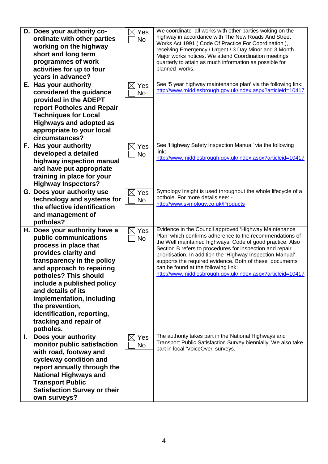|    | D. Does your authority co-<br>ordinate with other parties<br>working on the highway<br>short and long term<br>programmes of work<br>activities for up to four<br>years in advance?<br>E. Has your authority<br>considered the guidance<br>provided in the ADEPT<br>report Potholes and Repair<br><b>Techniques for Local</b><br><b>Highways and adopted as</b><br>appropriate to your local<br>circumstances? | Yes<br><b>No</b><br>Yes<br><b>No</b> | We coordinate all works with other parties woking on the<br>highway in accordance with The New Roads And Street<br>Works Act 1991 (Code Of Practice For Coordination),<br>receiving Emergency / Urgent / 3 Day Minor and 3 Month<br>Major works notices. We attend Coordination meetings<br>quarterly to attain as much information as possible for<br>planned works.<br>See '5 year highway maintenance plan' via the following link:<br>http://www.middlesbrough.gov.uk/index.aspx?articleid=10417 |
|----|---------------------------------------------------------------------------------------------------------------------------------------------------------------------------------------------------------------------------------------------------------------------------------------------------------------------------------------------------------------------------------------------------------------|--------------------------------------|------------------------------------------------------------------------------------------------------------------------------------------------------------------------------------------------------------------------------------------------------------------------------------------------------------------------------------------------------------------------------------------------------------------------------------------------------------------------------------------------------|
|    | F. Has your authority<br>developed a detailed<br>highway inspection manual<br>and have put appropriate<br>training in place for your<br><b>Highway Inspectors?</b>                                                                                                                                                                                                                                            | Yes<br><b>No</b>                     | See 'Highway Safety Inspection Manual' via the following<br>link:<br>http://www.middlesbrough.gov.uk/index.aspx?articleid=10417                                                                                                                                                                                                                                                                                                                                                                      |
|    | G. Does your authority use<br>technology and systems for<br>the effective identification<br>and management of<br>potholes?                                                                                                                                                                                                                                                                                    | Yes<br><b>No</b>                     | Symology Insight is used throughout the whole lifecycle of a<br>pothole. For more details see: -<br>http://www.symology.co.uk/Products                                                                                                                                                                                                                                                                                                                                                               |
|    | H. Does your authority have a<br>public communications<br>process in place that<br>provides clarity and<br>transparency in the policy<br>and approach to repairing<br>potholes? This should<br>include a published policy<br>and details of its<br>implementation, including<br>the prevention,<br>identification, reporting,<br>tracking and repair of<br>potholes.                                          | Yes<br><b>No</b>                     | Evidence in the Council approved 'Highway Maintenance<br>Plan' which confirms adherence to the recommendations of<br>the Well maintained highways, Code of good practice. Also<br>Section B refers to procedures for inspection and repair<br>prioritisation. In addition the 'Highway Inspection Manual'<br>supports the required evidence. Both of these documents<br>can be found at the following link:<br>http://www.middlesbrough.gov.uk/index.aspx?articleid=10417                            |
| I. | Does your authority<br>monitor public satisfaction<br>with road, footway and<br>cycleway condition and<br>report annually through the<br><b>National Highways and</b><br><b>Transport Public</b><br><b>Satisfaction Survey or their</b><br>own surveys?                                                                                                                                                       | Yes<br><b>No</b>                     | The authority takes part in the National Highways and<br>Transport Public Satisfaction Survey biennially. We also take<br>part in local 'VoiceOver' surveys.                                                                                                                                                                                                                                                                                                                                         |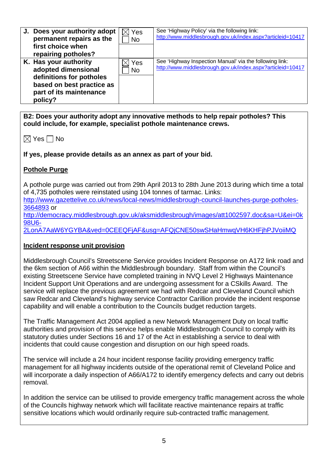| J. Does your authority adopt<br>permanent repairs as the<br>first choice when<br>repairing potholes?                                        | Yes<br><b>No</b> | See 'Highway Policy' via the following link:<br>http://www.middlesbrough.gov.uk/index.aspx?articleid=10417            |
|---------------------------------------------------------------------------------------------------------------------------------------------|------------------|-----------------------------------------------------------------------------------------------------------------------|
| K. Has your authority<br>adopted dimensional<br>definitions for potholes<br>based on best practice as<br>part of its maintenance<br>policy? | Yes<br><b>No</b> | See 'Highway Inspection Manual' via the following link:<br>http://www.middlesbrough.gov.uk/index.aspx?articleid=10417 |

**B2: Does your authority adopt any innovative methods to help repair potholes? This could include, for example, specialist pothole maintenance crews.**

| M | <b>Yes</b> |  | No |
|---|------------|--|----|
|---|------------|--|----|

**If yes, please provide details as an annex as part of your bid.**

#### **Pothole Purge**

A pothole purge was carried out from 29th April 2013 to 28th June 2013 during which time a total of 4,735 potholes were reinstated using 104 tonnes of tarmac. Links:

[http://www.gazettelive.co.uk/news/local-news/middlesbrough-council-launches-purge-potholes-](http://www.gazettelive.co.uk/news/local-news/middlesbrough-council-launches-purge-potholes-3664893)[3664893](http://www.gazettelive.co.uk/news/local-news/middlesbrough-council-launches-purge-potholes-3664893) or

[http://democracy.middlesbrough.gov.uk/aksmiddlesbrough/images/att1002597.doc&sa=U&ei=0k](http://democracy.middlesbrough.gov.uk/aksmiddlesbrough/images/att1002597.doc&sa=U&ei=0k98U6-2LonA7AaW6YGYBA&ved=0CEEQFjAF&usg=AFQjCNE50swSHaHmwqVH6KHFjhPJVoiiMQ) [98U6-](http://democracy.middlesbrough.gov.uk/aksmiddlesbrough/images/att1002597.doc&sa=U&ei=0k98U6-2LonA7AaW6YGYBA&ved=0CEEQFjAF&usg=AFQjCNE50swSHaHmwqVH6KHFjhPJVoiiMQ)

[2LonA7AaW6YGYBA&ved=0CEEQFjAF&usg=AFQjCNE50swSHaHmwqVH6KHFjhPJVoiiMQ](http://democracy.middlesbrough.gov.uk/aksmiddlesbrough/images/att1002597.doc&sa=U&ei=0k98U6-2LonA7AaW6YGYBA&ved=0CEEQFjAF&usg=AFQjCNE50swSHaHmwqVH6KHFjhPJVoiiMQ)

#### **Incident response unit provision**

Middlesbrough Council's Streetscene Service provides Incident Response on A172 link road and the 6km section of A66 within the Middlesbrough boundary. Staff from within the Council's existing Streetscene Service have completed training in NVQ Level 2 Highways Maintenance Incident Support Unit Operations and are undergoing assessment for a CSkills Award. The service will replace the previous agreement we had with Redcar and Cleveland Council which saw Redcar and Cleveland's highway service Contractor Carillion provide the incident response capability and will enable a contribution to the Councils budget reduction targets.

The Traffic Management Act 2004 applied a new Network Management Duty on local traffic authorities and provision of this service helps enable Middlesbrough Council to comply with its statutory duties under Sections 16 and 17 of the Act in establishing a service to deal with incidents that could cause congestion and disruption on our high speed roads.

The service will include a 24 hour incident response facility providing emergency traffic management for all highway incidents outside of the operational remit of Cleveland Police and will incorporate a daily inspection of A66/A172 to identify emergency defects and carry out debris removal.

In addition the service can be utilised to provide emergency traffic management across the whole of the Councils highway network which will facilitate reactive maintenance repairs at traffic sensitive locations which would ordinarily require sub-contracted traffic management.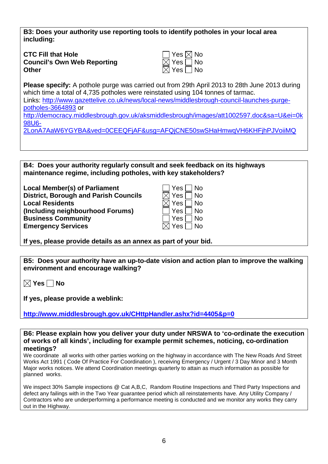**B3: Does your authority use reporting tools to identify potholes in your local area including:**

**CTC Fill that Hole Council's Own Web Reporting**<br>Other **Other**  $\boxtimes$  Yes  $\Box$  No

| $\exists$ Yes $\boxtimes$ No |      |
|------------------------------|------|
| $\boxtimes$ Yes $\Box$ No    |      |
| $\boxtimes$ Yes $\Box$       | l No |

**Please specify:** A pothole purge was carried out from 29th April 2013 to 28th June 2013 during which time a total of 4,735 potholes were reinstated using 104 tonnes of tarmac. Links: [http://www.gazettelive.co.uk/news/local-news/middlesbrough-council-launches-purge](http://www.gazettelive.co.uk/news/local-news/middlesbrough-council-launches-purge-potholes-3664893)[potholes-3664893](http://www.gazettelive.co.uk/news/local-news/middlesbrough-council-launches-purge-potholes-3664893) or [http://democracy.middlesbrough.gov.uk/aksmiddlesbrough/images/att1002597.doc&sa=U&ei=0k](http://democracy.middlesbrough.gov.uk/aksmiddlesbrough/images/att1002597.doc&sa=U&ei=0k98U6-2LonA7AaW6YGYBA&ved=0CEEQFjAF&usg=AFQjCNE50swSHaHmwqVH6KHFjhPJVoiiMQ) [98U6-](http://democracy.middlesbrough.gov.uk/aksmiddlesbrough/images/att1002597.doc&sa=U&ei=0k98U6-2LonA7AaW6YGYBA&ved=0CEEQFjAF&usg=AFQjCNE50swSHaHmwqVH6KHFjhPJVoiiMQ)

[2LonA7AaW6YGYBA&ved=0CEEQFjAF&usg=AFQjCNE50swSHaHmwqVH6KHFjhPJVoiiMQ](http://democracy.middlesbrough.gov.uk/aksmiddlesbrough/images/att1002597.doc&sa=U&ei=0k98U6-2LonA7AaW6YGYBA&ved=0CEEQFjAF&usg=AFQjCNE50swSHaHmwqVH6KHFjhPJVoiiMQ)

**B4: Does your authority regularly consult and seek feedback on its highways maintenance regime, including potholes, with key stakeholders?**

**Local Member(s) of Parliament District, Borough and Parish Councils Local Residents (Including neighbourhood Forums) Business Community Emergency Services** 

| Yes | N٥        |
|-----|-----------|
| Yes | No        |
| Yes | <b>No</b> |
| Yes | No        |
| Yes | N٥        |
| Yes | <b>No</b> |
|     |           |

**If yes, please provide details as an annex as part of your bid.**

**B5: Does your authority have an up-to-date vision and action plan to improve the walking environment and encourage walking?**

**Yes No**

**If yes, please provide a weblink:**

**<http://www.middlesbrough.gov.uk/CHttpHandler.ashx?id=4405&p=0>**

**B6: Please explain how you deliver your duty under NRSWA to 'co-ordinate the execution of works of all kinds', including for example permit schemes, noticing, co-ordination meetings?**

We coordinate all works with other parties working on the highway in accordance with The New Roads And Street Works Act 1991 ( Code Of Practice For Coordination ), receiving Emergency / Urgent / 3 Day Minor and 3 Month Major works notices. We attend Coordination meetings quarterly to attain as much information as possible for planned works.

We inspect 30% Sample inspections @ Cat A,B,C, Random Routine Inspections and Third Party Inspections and defect any failings with in the Two Year guarantee period which all reinstatements have. Any Utility Company / Contractors who are underperforming a performance meeting is conducted and we monitor any works they carry out in the Highway.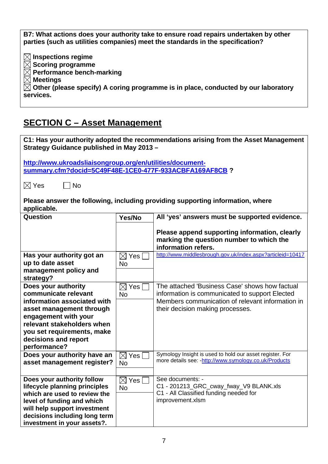**B7: What actions does your authority take to ensure road repairs undertaken by other parties (such as utilities companies) meet the standards in the specification? Inspections regime Scoring programme Performance bench-marking Meetings Other (please specify) A coring programme is in place, conducted by our laboratory services.**

## **SECTION C – Asset Management**

| C1: Has your authority adopted the recommendations arising from the Asset Management<br>Strategy Guidance published in May 2013 - |                        |                                                                                                                  |  |  |
|-----------------------------------------------------------------------------------------------------------------------------------|------------------------|------------------------------------------------------------------------------------------------------------------|--|--|
| http://www.ukroadsliaisongroup.org/en/utilities/document-                                                                         |                        |                                                                                                                  |  |  |
| summary.cfm?docid=5C49F48E-1CE0-477F-933ACBFA169AF8CB?                                                                            |                        |                                                                                                                  |  |  |
|                                                                                                                                   |                        |                                                                                                                  |  |  |
| $\boxtimes$ Yes<br><b>No</b>                                                                                                      |                        |                                                                                                                  |  |  |
| applicable.                                                                                                                       |                        | Please answer the following, including providing supporting information, where                                   |  |  |
|                                                                                                                                   |                        |                                                                                                                  |  |  |
| Question                                                                                                                          | Yes/No                 | All 'yes' answers must be supported evidence.                                                                    |  |  |
|                                                                                                                                   |                        | Please append supporting information, clearly<br>marking the question number to which the<br>information refers. |  |  |
| Has your authority got an                                                                                                         | $\boxtimes$ Yes $\mid$ | http://www.middlesbrough.gov.uk/index.aspx?articleid=10417                                                       |  |  |
| up to date asset                                                                                                                  | <b>No</b>              |                                                                                                                  |  |  |
| management policy and                                                                                                             |                        |                                                                                                                  |  |  |
| strategy?                                                                                                                         |                        |                                                                                                                  |  |  |
| Does your authority                                                                                                               | $\boxtimes$<br>Yes     | The attached 'Business Case' shows how factual                                                                   |  |  |
| communicate relevant                                                                                                              | <b>No</b>              | information is communicated to support Elected                                                                   |  |  |
| information associated with                                                                                                       |                        | Members communication of relevant information in                                                                 |  |  |
| asset management through                                                                                                          |                        | their decision making processes.                                                                                 |  |  |
| engagement with your                                                                                                              |                        |                                                                                                                  |  |  |
| relevant stakeholders when                                                                                                        |                        |                                                                                                                  |  |  |
| you set requirements, make                                                                                                        |                        |                                                                                                                  |  |  |
| decisions and report                                                                                                              |                        |                                                                                                                  |  |  |
| performance?                                                                                                                      |                        |                                                                                                                  |  |  |
| Does your authority have an                                                                                                       | $\boxtimes$ Yes [      | Symology Insight is used to hold our asset register. For                                                         |  |  |
| asset management register?                                                                                                        | <b>No</b>              | more details see: - http://www.symology.co.uk/Products                                                           |  |  |
|                                                                                                                                   |                        |                                                                                                                  |  |  |
| Does your authority follow                                                                                                        | $\boxtimes$ Yes $\Box$ | See documents: -                                                                                                 |  |  |
| lifecycle planning principles                                                                                                     | No                     | C1 - 201213_GRC_cway_fway_V9 BLANK.xls                                                                           |  |  |
| which are used to review the                                                                                                      |                        | C1 - All Classified funding needed for                                                                           |  |  |
| improvement.xlsm<br>level of funding and which                                                                                    |                        |                                                                                                                  |  |  |
| will help support investment                                                                                                      |                        |                                                                                                                  |  |  |
| decisions including long term                                                                                                     |                        |                                                                                                                  |  |  |
| investment in your assets?.                                                                                                       |                        |                                                                                                                  |  |  |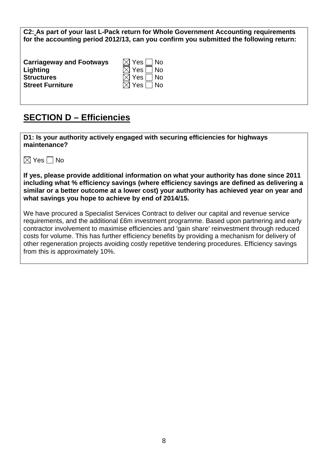**C2: As part of your last L-Pack return for Whole Government Accounting requirements for the accounting period 2012/13, can you confirm you submitted the following return:**

| <b>Carriageway and Footways</b> | $\boxtimes$ Yes $\Box$ No |
|---------------------------------|---------------------------|
| Lighting                        | $\boxtimes$ Yes $\Box$ No |
| <b>Structures</b>               | $\boxtimes$ Yes $\Box$ No |
| <b>Street Furniture</b>         | $\boxtimes$ Yes $\Box$ No |

### **SECTION D – Efficiencies**

**D1: Is your authority actively engaged with securing efficiencies for highways maintenance?** 

| $\boxtimes$ | Yes |  | No |
|-------------|-----|--|----|
|-------------|-----|--|----|

**If yes, please provide additional information on what your authority has done since 2011 including what % efficiency savings (where efficiency savings are defined as delivering a similar or a better outcome at a lower cost) your authority has achieved year on year and what savings you hope to achieve by end of 2014/15.**

We have procured a Specialist Services Contract to deliver our capital and revenue service requirements, and the additional £6m investment programme. Based upon partnering and early contractor involvement to maximise efficiencies and 'gain share' reinvestment through reduced costs for volume. This has further efficiency benefits by providing a mechanism for delivery of other regeneration projects avoiding costly repetitive tendering procedures. Efficiency savings from this is approximately 10%.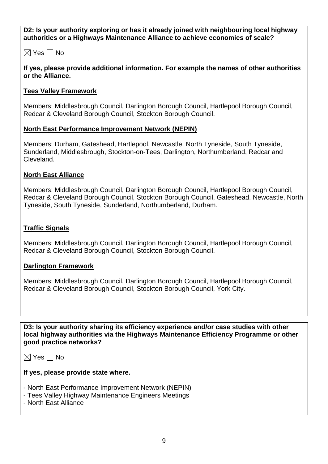**D2: Is your authority exploring or has it already joined with neighbouring local highway authorities or a Highways Maintenance Alliance to achieve economies of scale?**

 $\boxtimes$  Yes  $\Box$  No

**If yes, please provide additional information. For example the names of other authorities or the Alliance.**

#### **Tees Valley Framework**

Members: Middlesbrough Council, Darlington Borough Council, Hartlepool Borough Council, Redcar & Cleveland Borough Council, Stockton Borough Council.

#### **North East Performance Improvement Network (NEPIN)**

Members: Durham, Gateshead, Hartlepool, Newcastle, North Tyneside, South Tyneside, Sunderland, Middlesbrough, Stockton-on-Tees, Darlington, Northumberland, Redcar and Cleveland.

#### **North East Alliance**

Members: Middlesbrough Council, Darlington Borough Council, Hartlepool Borough Council, Redcar & Cleveland Borough Council, Stockton Borough Council, Gateshead. Newcastle, North Tyneside, South Tyneside, Sunderland, Northumberland, Durham.

#### **Traffic Signals**

Members: Middlesbrough Council, Darlington Borough Council, Hartlepool Borough Council, Redcar & Cleveland Borough Council, Stockton Borough Council.

#### **Darlington Framework**

Members: Middlesbrough Council, Darlington Borough Council, Hartlepool Borough Council, Redcar & Cleveland Borough Council, Stockton Borough Council, York City.

**D3: Is your authority sharing its efficiency experience and/or case studies with other local highway authorities via the Highways Maintenance Efficiency Programme or other good practice networks?**

 $\boxtimes$  Yes  $\Box$  No

**If yes, please provide state where.**

- North East Performance Improvement Network (NEPIN)
- Tees Valley Highway Maintenance Engineers Meetings
- North East Alliance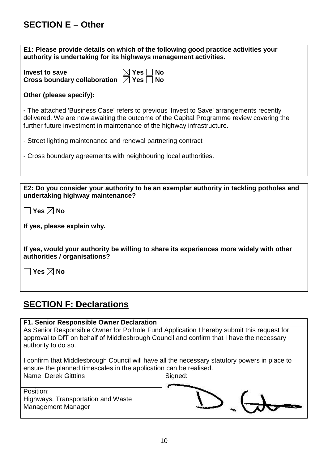### **SECTION E – Other**

| E1: Please provide details on which of the following good practice activities your<br>authority is undertaking for its highways management activities.                                                                                                         |  |  |
|----------------------------------------------------------------------------------------------------------------------------------------------------------------------------------------------------------------------------------------------------------------|--|--|
| $\boxtimes$ Yes $\Box$ $\parallel$<br><b>Invest to save</b><br><b>No</b><br>Cross boundary collaboration $\Box$ Yes $\Box$<br><b>No</b>                                                                                                                        |  |  |
| Other (please specify):                                                                                                                                                                                                                                        |  |  |
| - The attached 'Business Case' refers to previous 'Invest to Save' arrangements recently<br>delivered. We are now awaiting the outcome of the Capital Programme review covering the<br>further future investment in maintenance of the highway infrastructure. |  |  |
| - Street lighting maintenance and renewal partnering contract                                                                                                                                                                                                  |  |  |
| - Cross boundary agreements with neighbouring local authorities.                                                                                                                                                                                               |  |  |
|                                                                                                                                                                                                                                                                |  |  |
| E2: Do you consider your authority to be an exemplar authority in tackling potholes and                                                                                                                                                                        |  |  |
| undertaking highway maintenance?                                                                                                                                                                                                                               |  |  |
| $\mathop{\bigsqcup}$ Yes $\boxtimes$ No                                                                                                                                                                                                                        |  |  |
| If yes, please explain why.                                                                                                                                                                                                                                    |  |  |

**If yes, would your authority be willing to share its experiences more widely with other authorities / organisations?**

**Yes No**

### **SECTION F: Declarations**

#### **F1. Senior Responsible Owner Declaration**

As Senior Responsible Owner for Pothole Fund Application I hereby submit this request for approval to DfT on behalf of Middlesbrough Council and confirm that I have the necessary authority to do so.

I confirm that Middlesbrough Council will have all the necessary statutory powers in place to ensure the planned timescales in the application can be realised.

| Name: Derek Gitttins               | Signed: |
|------------------------------------|---------|
|                                    |         |
| Position:                          |         |
| Highways, Transportation and Waste |         |
| <b>Management Manager</b>          |         |
|                                    |         |